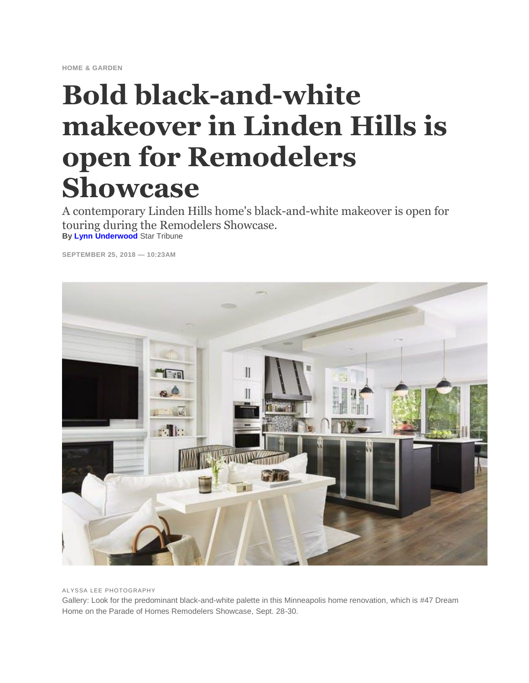**[HOME & GARDEN](http://www.startribune.com/variety/homegarden/)** 

# **Bold black-and-white makeover in Linden Hills is open for Remodelers Showcase**

A contemporary Linden Hills home's black-and-white makeover is open for touring during the Remodelers Showcase. **By Lynn [Underwood](http://www.startribune.com/lynn-underwood/10646141/)** Star Tribune

**SEPTEMBER 25, 2018 — 10:23AM**



ALYSSA LEE PHOTOGRAPHY

Gallery: Look for the predominant black-and-white palette in this Minneapolis home renovation, which is #47 Dream Home on the Parade of Homes Remodelers Showcase, Sept. 28-30[.](https://www.facebook.com/sharer/sharer.php?u=http%3A%2F%2Fstrib.mn%2F2zmB6DT)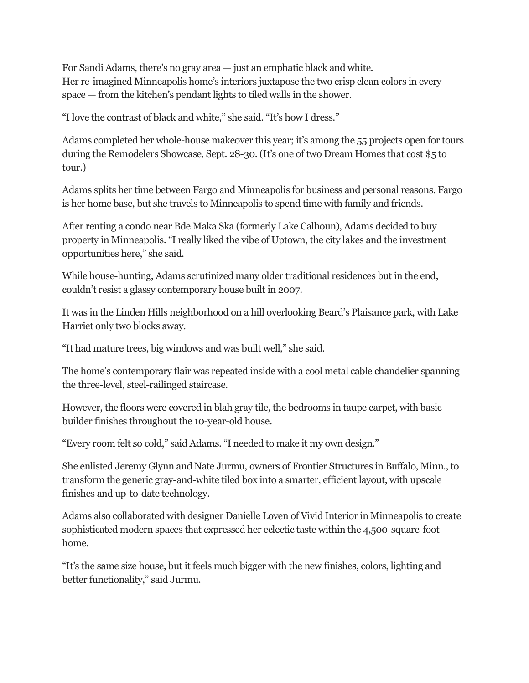For Sandi Adams, there's no gray area — just an emphatic black and white. Her re-imagined Minneapolis home's interiors juxtapose the two crisp clean colors in every space — from the kitchen's pendant lights to tiled walls in the shower.

"I love the contrast of black and white," she said. "It's how I dress."

Adams completed her whole-house makeover this year; it's among the 55 projects open for tours during the Remodelers Showcase, Sept. 28-30. (It's one of two Dream Homes that cost \$5 to tour.)

Adams splits her time between Fargo and Minneapolis for business and personal reasons. Fargo is her home base, but she travels to Minneapolis to spend time with family and friends.

After renting a condo near Bde Maka Ska (formerly Lake Calhoun), Adams decided to buy property in Minneapolis. "I really liked the vibe of Uptown, the city lakes and the investment opportunities here," she said.

While house-hunting, Adams scrutinized many older traditional residences but in the end, couldn't resist a glassy contemporary house built in 2007.

It was in the Linden Hills neighborhood on a hill overlooking Beard's Plaisance park, with Lake Harriet only two blocks away.

"It had mature trees, big windows and was built well," she said.

The home's contemporary flair was repeated inside with a cool metal cable chandelier spanning the three-level, steel-railinged staircase.

However, the floors were covered in blah gray tile, the bedrooms in taupe carpet, with basic builder finishes throughout the 10-year-old house.

"Every room felt so cold," said Adams. "I needed to make it my own design."

She enlisted Jeremy Glynn and Nate Jurmu, owners of Frontier Structures in Buffalo, Minn., to transform the generic gray-and-white tiled box into a smarter, efficient layout, with upscale finishes and up-to-date technology.

Adams also collaborated with designer Danielle Loven of Vivid Interior in Minneapolis to create sophisticated modern spaces that expressed her eclectic taste within the 4,500-square-foot home.

"It's the same size house, but it feels much bigger with the new finishes, colors, lighting and better functionality," said Jurmu.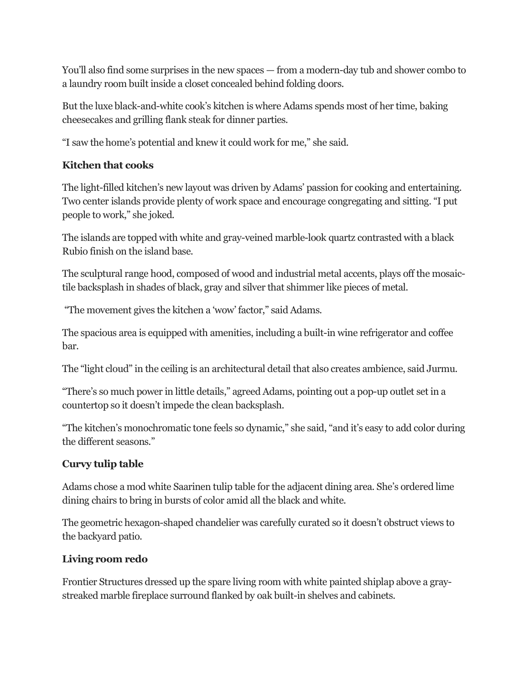You'll also find some surprises in the new spaces — from a modern-day tub and shower combo to a laundry room built inside a closet concealed behind folding doors.

But the luxe black-and-white cook's kitchen is where Adams spends most of her time, baking cheesecakes and grilling flank steak for dinner parties.

"I saw the home's potential and knew it could work for me," she said.

## **Kitchen that cooks**

The light-filled kitchen's new layout was driven by Adams' passion for cooking and entertaining. Two center islands provide plenty of work space and encourage congregating and sitting. "I put people to work," she joked.

The islands are topped with white and gray-veined marble-look quartz contrasted with a black Rubio finish on the island base.

The sculptural range hood, composed of wood and industrial metal accents, plays off the mosaictile backsplash in shades of black, gray and silver that shimmer like pieces of metal.

"The movement gives the kitchen a 'wow' factor," said Adams.

The spacious area is equipped with amenities, including a built-in wine refrigerator and coffee bar.

The "light cloud" in the ceiling is an architectural detail that also creates ambience, said Jurmu.

"There's so much power in little details," agreed Adams, pointing out a pop-up outlet set in a countertop so it doesn't impede the clean backsplash.

"The kitchen's monochromatic tone feels so dynamic," she said, "and it's easy to add color during the different seasons."

## **Curvy tulip table**

Adams chose a mod white Saarinen tulip table for the adjacent dining area. She's ordered lime dining chairs to bring in bursts of color amid all the black and white.

The geometric hexagon-shaped chandelier was carefully curated so it doesn't obstruct views to the backyard patio.

## **Living room redo**

Frontier Structures dressed up the spare living room with white painted shiplap above a graystreaked marble fireplace surround flanked by oak built-in shelves and cabinets.